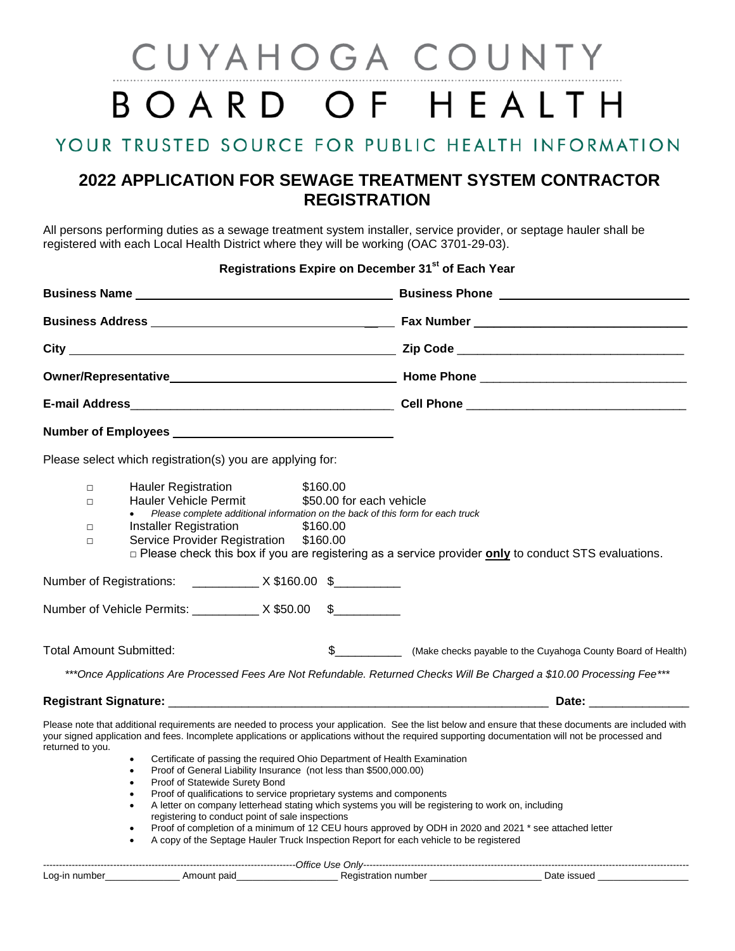## CUYAHOGA COUNTY BOARD OF HEALTH

## YOUR TRUSTED SOURCE FOR PUBLIC HEALTH INFORMATION

## **2022 APPLICATION FOR SEWAGE TREATMENT SYSTEM CONTRACTOR REGISTRATION**

All persons performing duties as a sewage treatment system installer, service provider, or septage hauler shall be registered with each Local Health District where they will be working (OAC 3701-29-03).

|                                      |                                                                                             |                                                                                                                                                                                                                                                                                                               |                                                  | Registrations Expire on December 31 <sup>st</sup> of Each Year                                                                                                                                                                                                                                                                                                                                                                                                                                                                                                                                                        |  |  |                                                           |  |  |  |
|--------------------------------------|---------------------------------------------------------------------------------------------|---------------------------------------------------------------------------------------------------------------------------------------------------------------------------------------------------------------------------------------------------------------------------------------------------------------|--------------------------------------------------|-----------------------------------------------------------------------------------------------------------------------------------------------------------------------------------------------------------------------------------------------------------------------------------------------------------------------------------------------------------------------------------------------------------------------------------------------------------------------------------------------------------------------------------------------------------------------------------------------------------------------|--|--|-----------------------------------------------------------|--|--|--|
|                                      |                                                                                             |                                                                                                                                                                                                                                                                                                               |                                                  |                                                                                                                                                                                                                                                                                                                                                                                                                                                                                                                                                                                                                       |  |  |                                                           |  |  |  |
|                                      |                                                                                             |                                                                                                                                                                                                                                                                                                               |                                                  |                                                                                                                                                                                                                                                                                                                                                                                                                                                                                                                                                                                                                       |  |  |                                                           |  |  |  |
|                                      |                                                                                             |                                                                                                                                                                                                                                                                                                               |                                                  |                                                                                                                                                                                                                                                                                                                                                                                                                                                                                                                                                                                                                       |  |  |                                                           |  |  |  |
|                                      |                                                                                             |                                                                                                                                                                                                                                                                                                               |                                                  |                                                                                                                                                                                                                                                                                                                                                                                                                                                                                                                                                                                                                       |  |  | Please select which registration(s) you are applying for: |  |  |  |
| $\Box$<br>$\Box$<br>$\Box$<br>$\Box$ | <b>Hauler Registration</b><br><b>Hauler Vehicle Permit</b><br><b>Installer Registration</b> | Please complete additional information on the back of this form for each truck<br>Service Provider Registration \$160.00                                                                                                                                                                                      | \$160.00<br>\$50.00 for each vehicle<br>\$160.00 | $\Box$ Please check this box if you are registering as a service provider only to conduct STS evaluations.                                                                                                                                                                                                                                                                                                                                                                                                                                                                                                            |  |  |                                                           |  |  |  |
|                                      |                                                                                             |                                                                                                                                                                                                                                                                                                               |                                                  |                                                                                                                                                                                                                                                                                                                                                                                                                                                                                                                                                                                                                       |  |  |                                                           |  |  |  |
|                                      | Number of Vehicle Permits: ___________ X \$50.00                                            |                                                                                                                                                                                                                                                                                                               | $\frac{1}{2}$                                    |                                                                                                                                                                                                                                                                                                                                                                                                                                                                                                                                                                                                                       |  |  |                                                           |  |  |  |
| <b>Total Amount Submitted:</b>       |                                                                                             |                                                                                                                                                                                                                                                                                                               |                                                  |                                                                                                                                                                                                                                                                                                                                                                                                                                                                                                                                                                                                                       |  |  |                                                           |  |  |  |
|                                      |                                                                                             |                                                                                                                                                                                                                                                                                                               |                                                  | ***Once Applications Are Processed Fees Are Not Refundable. Returned Checks Will Be Charged a \$10.00 Processing Fee***                                                                                                                                                                                                                                                                                                                                                                                                                                                                                               |  |  |                                                           |  |  |  |
|                                      |                                                                                             |                                                                                                                                                                                                                                                                                                               |                                                  |                                                                                                                                                                                                                                                                                                                                                                                                                                                                                                                                                                                                                       |  |  |                                                           |  |  |  |
| returned to you.                     | $\bullet$<br>$\bullet$<br>$\bullet$<br>$\bullet$<br>$\bullet$<br>$\bullet$                  | Certificate of passing the required Ohio Department of Health Examination<br>Proof of General Liability Insurance (not less than \$500,000.00)<br>Proof of Statewide Surety Bond<br>Proof of qualifications to service proprietary systems and components<br>registering to conduct point of sale inspections |                                                  | Please note that additional requirements are needed to process your application. See the list below and ensure that these documents are included with<br>your signed application and fees. Incomplete applications or applications without the required supporting documentation will not be processed and<br>A letter on company letterhead stating which systems you will be registering to work on, including<br>Proof of completion of a minimum of 12 CEU hours approved by ODH in 2020 and 2021 * see attached letter<br>A copy of the Septage Hauler Truck Inspection Report for each vehicle to be registered |  |  |                                                           |  |  |  |

| -------------------Office<br>Use<br>$'$ Inks<br>---------------------------<br>-------------------<br>--------------------<br>viin |      |               |                |  |  |  |  |
|------------------------------------------------------------------------------------------------------------------------------------|------|---------------|----------------|--|--|--|--|
| Log-in                                                                                                                             | paid | atio,<br>тюег | ۱ot<br>$J = 1$ |  |  |  |  |